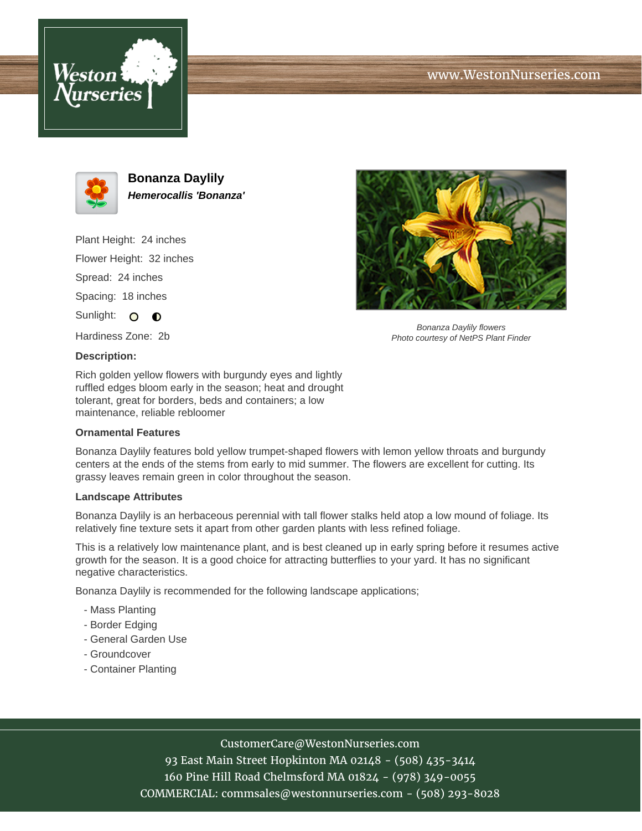





**Bonanza Daylily Hemerocallis 'Bonanza'**

Plant Height: 24 inches Flower Height: 32 inches Spread: 24 inches Spacing: 18 inches Sunlight: O O



#### **Description:**

Rich golden yellow flowers with burgundy eyes and lightly ruffled edges bloom early in the season; heat and drought tolerant, great for borders, beds and containers; a low maintenance, reliable rebloomer

### **Ornamental Features**

Bonanza Daylily features bold yellow trumpet-shaped flowers with lemon yellow throats and burgundy centers at the ends of the stems from early to mid summer. The flowers are excellent for cutting. Its grassy leaves remain green in color throughout the season.

#### **Landscape Attributes**

Bonanza Daylily is an herbaceous perennial with tall flower stalks held atop a low mound of foliage. Its relatively fine texture sets it apart from other garden plants with less refined foliage.

This is a relatively low maintenance plant, and is best cleaned up in early spring before it resumes active growth for the season. It is a good choice for attracting butterflies to your yard. It has no significant negative characteristics.

Bonanza Daylily is recommended for the following landscape applications;

- Mass Planting
- Border Edging
- General Garden Use
- Groundcover
- Container Planting



Photo courtesy of NetPS Plant Finder

# CustomerCare@WestonNurseries.com

93 East Main Street Hopkinton MA 02148 - (508) 435-3414 160 Pine Hill Road Chelmsford MA 01824 - (978) 349-0055 COMMERCIAL: commsales@westonnurseries.com - (508) 293-8028